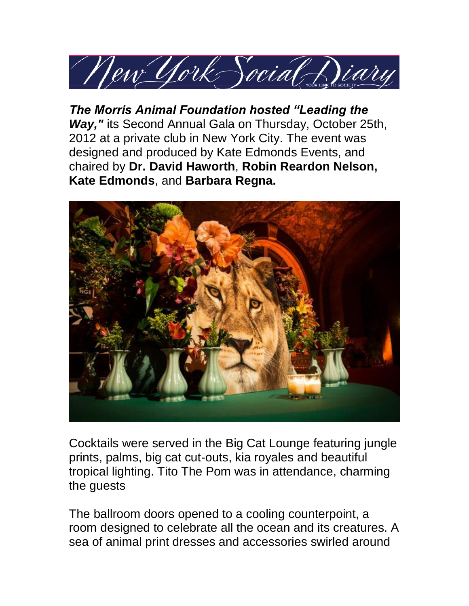

*The Morris Animal Foundation hosted "Leading the Way,"* its Second Annual Gala on Thursday, October 25th, 2012 at a private club in New York City. The event was designed and produced by Kate Edmonds Events, and chaired by **Dr. David Haworth**, **Robin Reardon Nelson, Kate Edmonds**, and **Barbara Regna.** 



Cocktails were served in the Big Cat Lounge featuring jungle prints, palms, big cat cut-outs, kia royales and beautiful tropical lighting. Tito The Pom was in attendance, charming the guests

The ballroom doors opened to a cooling counterpoint, a room designed to celebrate all the ocean and its creatures. A sea of animal print dresses and accessories swirled around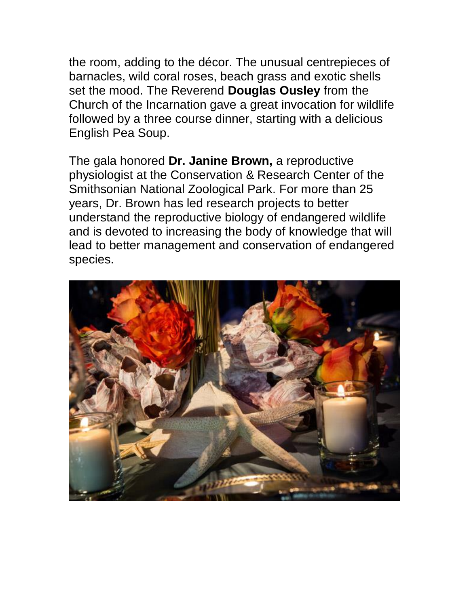the room, adding to the décor. The unusual centrepieces of barnacles, wild coral roses, beach grass and exotic shells set the mood. The Reverend **Douglas Ousley** from the Church of the Incarnation gave a great invocation for wildlife followed by a three course dinner, starting with a delicious English Pea Soup.

The gala honored **Dr. Janine Brown,** a reproductive physiologist at the Conservation & Research Center of the Smithsonian National Zoological Park. For more than 25 years, Dr. Brown has led research projects to better understand the reproductive biology of endangered wildlife and is devoted to increasing the body of knowledge that will lead to better management and conservation of endangered species.